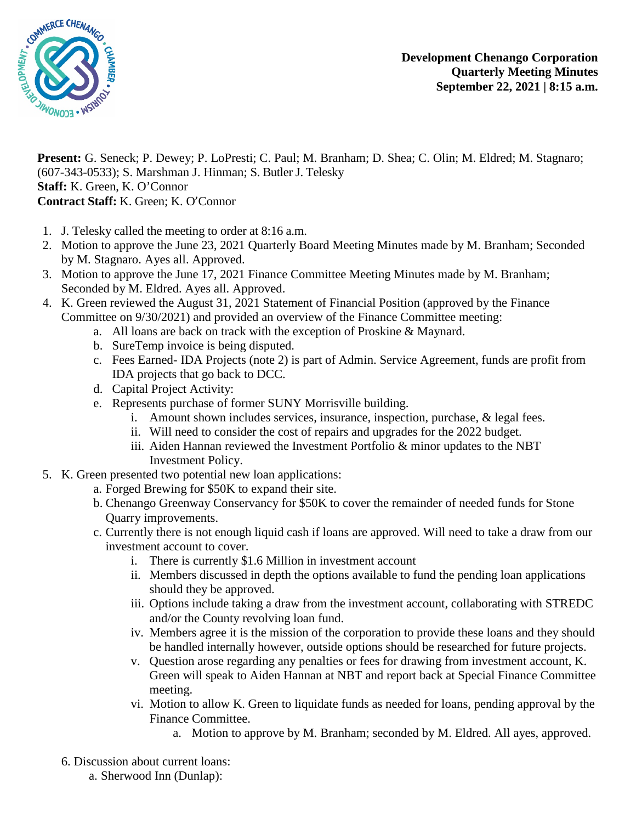

**Present:** G. Seneck; P. Dewey; P. LoPresti; C. Paul; M. Branham; D. Shea; C. Olin; M. Eldred; M. Stagnaro; (607-343-0533); S. Marshman J. Hinman; S. Butler J. Telesky **Staff:** K. Green, K. O'Connor **Contract Staff:** K. Green; K. O'Connor

- 1. J. Telesky called the meeting to order at 8:16 a.m.
- 2. Motion to approve the June 23, 2021 Quarterly Board Meeting Minutes made by M. Branham; Seconded by M. Stagnaro. Ayes all. Approved.
- 3. Motion to approve the June 17, 2021 Finance Committee Meeting Minutes made by M. Branham; Seconded by M. Eldred. Ayes all. Approved.
- 4. K. Green reviewed the August 31, 2021 Statement of Financial Position (approved by the Finance Committee on 9/30/2021) and provided an overview of the Finance Committee meeting:
	- a. All loans are back on track with the exception of Proskine & Maynard.
	- b. SureTemp invoice is being disputed.
	- c. Fees Earned- IDA Projects (note 2) is part of Admin. Service Agreement, funds are profit from IDA projects that go back to DCC.
	- d. Capital Project Activity:
	- e. Represents purchase of former SUNY Morrisville building.
		- i. Amount shown includes services, insurance, inspection, purchase, & legal fees.
		- ii. Will need to consider the cost of repairs and upgrades for the 2022 budget.
		- iii. Aiden Hannan reviewed the Investment Portfolio & minor updates to the NBT Investment Policy.
- 5. K. Green presented two potential new loan applications:
	- a. Forged Brewing for \$50K to expand their site.
		- b. Chenango Greenway Conservancy for \$50K to cover the remainder of needed funds for Stone Quarry improvements.
		- c. Currently there is not enough liquid cash if loans are approved. Will need to take a draw from our investment account to cover.
			- i. There is currently \$1.6 Million in investment account
			- ii. Members discussed in depth the options available to fund the pending loan applications should they be approved.
			- iii. Options include taking a draw from the investment account, collaborating with STREDC and/or the County revolving loan fund.
			- iv. Members agree it is the mission of the corporation to provide these loans and they should be handled internally however, outside options should be researched for future projects.
			- v. Question arose regarding any penalties or fees for drawing from investment account, K. Green will speak to Aiden Hannan at NBT and report back at Special Finance Committee meeting.
			- vi. Motion to allow K. Green to liquidate funds as needed for loans, pending approval by the Finance Committee.
				- a. Motion to approve by M. Branham; seconded by M. Eldred. All ayes, approved.
	- 6. Discussion about current loans:
		- a. Sherwood Inn (Dunlap):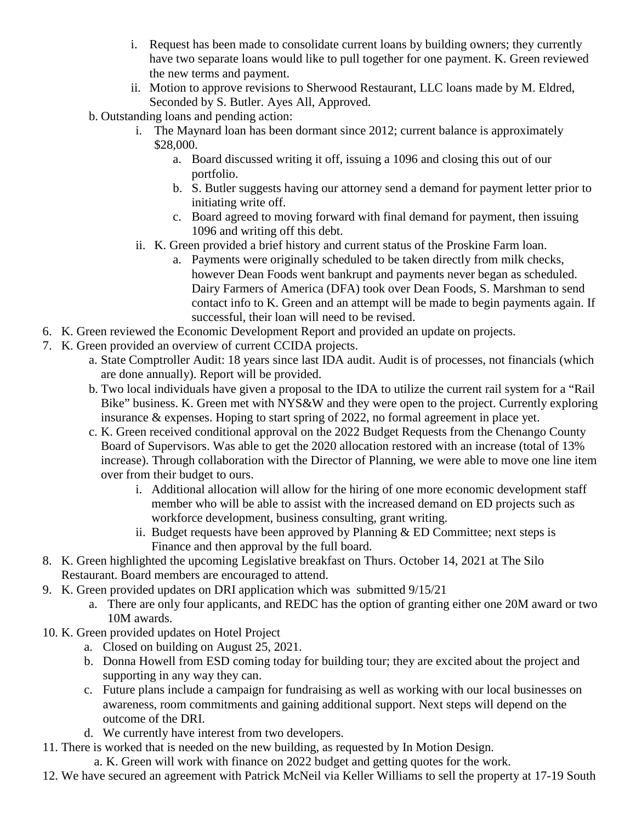- i. Request has been made to consolidate current loans by building owners; they currently have two separate loans would like to pull together for one payment. K. Green reviewed the new terms and payment.
- ii. Motion to approve revisions to Sherwood Restaurant, LLC loans made by M. Eldred, Seconded by S. Butler. Ayes All, Approved.
- b. Outstanding loans and pending action:
	- i. The Maynard loan has been dormant since 2012; current balance is approximately \$28,000.
		- a. Board discussed writing it off, issuing a 1096 and closing this out of our portfolio.
		- b. S. Butler suggests having our attorney send a demand for payment letter prior to initiating write off.
		- c. Board agreed to moving forward with final demand for payment, then issuing 1096 and writing off this debt.
	- ii. K. Green provided a brief history and current status of the Proskine Farm loan.
		- a. Payments were originally scheduled to be taken directly from milk checks, however Dean Foods went bankrupt and payments never began as scheduled. Dairy Farmers of America (DFA) took over Dean Foods, S. Marshman to send contact info to K. Green and an attempt will be made to begin payments again. If successful, their loan will need to be revised.
- 6. K. Green reviewed the Economic Development Report and provided an update on projects.
- 7. K. Green provided an overview of current CCIDA projects.
	- a. State Comptroller Audit: 18 years since last IDA audit. Audit is of processes, not financials (which are done annually). Report will be provided.
	- b. Two local individuals have given a proposal to the IDA to utilize the current rail system for a "Rail Bike" business. K. Green met with NYS&W and they were open to the project. Currently exploring insurance & expenses. Hoping to start spring of 2022, no formal agreement in place yet.
	- c. K. Green received conditional approval on the 2022 Budget Requests from the Chenango County Board of Supervisors. Was able to get the 2020 allocation restored with an increase (total of 13% increase). Through collaboration with the Director of Planning, we were able to move one line item over from their budget to ours.
		- i. Additional allocation will allow for the hiring of one more economic development staff member who will be able to assist with the increased demand on ED projects such as workforce development, business consulting, grant writing.
		- ii. Budget requests have been approved by Planning  $&$  ED Committee; next steps is Finance and then approval by the full board.
- 8. K. Green highlighted the upcoming Legislative breakfast on Thurs. October 14, 2021 at The Silo Restaurant. Board members are encouraged to attend.
- 9. K. Green provided updates on DRI application which was submitted 9/15/21
	- a. There are only four applicants, and REDC has the option of granting either one 20M award or two 10M awards.
- 10. K. Green provided updates on Hotel Project
	- a. Closed on building on August 25, 2021.
	- b. Donna Howell from ESD coming today for building tour; they are excited about the project and supporting in any way they can.
	- c. Future plans include a campaign for fundraising as well as working with our local businesses on awareness, room commitments and gaining additional support. Next steps will depend on the outcome of the DRI.
	- d. We currently have interest from two developers.
- 11. There is worked that is needed on the new building, as requested by In Motion Design.
	- a. K. Green will work with finance on 2022 budget and getting quotes for the work.
- 12. We have secured an agreement with Patrick McNeil via Keller Williams to sell the property at 17-19 South